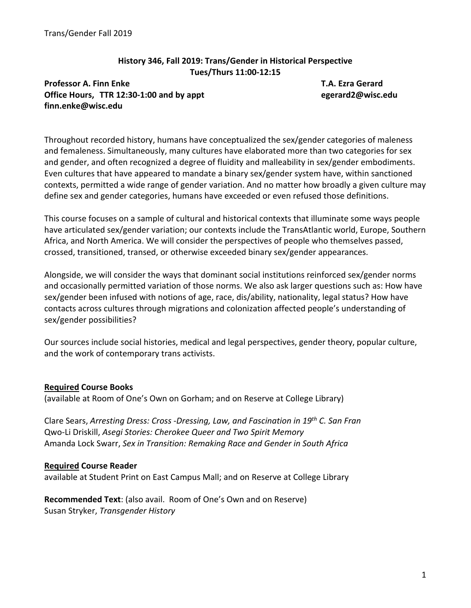## **History 346, Fall 2019: Trans/Gender in Historical Perspective Tues/Thurs 11:00‐12:15**

**Professor A. Finn Enke T.A. Ezra Gerard Office Hours, TTR 12:30‐1:00 and by appt egerard2@wisc.edu finn.enke@wisc.edu** 

Throughout recorded history, humans have conceptualized the sex/gender categories of maleness and femaleness. Simultaneously, many cultures have elaborated more than two categories for sex and gender, and often recognized a degree of fluidity and malleability in sex/gender embodiments. Even cultures that have appeared to mandate a binary sex/gender system have, within sanctioned contexts, permitted a wide range of gender variation. And no matter how broadly a given culture may define sex and gender categories, humans have exceeded or even refused those definitions.

This course focuses on a sample of cultural and historical contexts that illuminate some ways people have articulated sex/gender variation; our contexts include the TransAtlantic world, Europe, Southern Africa, and North America. We will consider the perspectives of people who themselves passed, crossed, transitioned, transed, or otherwise exceeded binary sex/gender appearances.

Alongside, we will consider the ways that dominant social institutions reinforced sex/gender norms and occasionally permitted variation of those norms. We also ask larger questions such as: How have sex/gender been infused with notions of age, race, dis/ability, nationality, legal status? How have contacts across cultures through migrations and colonization affected people's understanding of sex/gender possibilities?

Our sources include social histories, medical and legal perspectives, gender theory, popular culture, and the work of contemporary trans activists.

# **Required Course Books**

(available at Room of One's Own on Gorham; and on Reserve at College Library)

Clare Sears, *Arresting Dress: Cross ‐Dressing, Law, and Fascination in 19th C. San Fran* Qwo‐Li Driskill, *Asegi Stories: Cherokee Queer and Two Spirit Memory* Amanda Lock Swarr, *Sex in Transition: Remaking Race and Gender in South Africa*

### **Required Course Reader**

available at Student Print on East Campus Mall; and on Reserve at College Library

**Recommended Text**: (also avail. Room of One's Own and on Reserve) Susan Stryker, *Transgender History*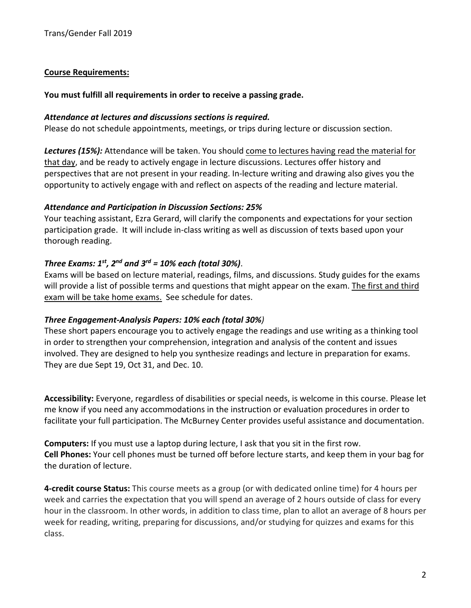## **Course Requirements:**

### **You must fulfill all requirements in order to receive a passing grade.**

### *Attendance at lectures and discussions sections is required.*

Please do not schedule appointments, meetings, or trips during lecture or discussion section.

*Lectures (15%):* Attendance will be taken. You should come to lectures having read the material for that day, and be ready to actively engage in lecture discussions. Lectures offer history and perspectives that are not present in your reading. In‐lecture writing and drawing also gives you the opportunity to actively engage with and reflect on aspects of the reading and lecture material.

## *Attendance and Participation in Discussion Sections: 25%*

Your teaching assistant, Ezra Gerard, will clarify the components and expectations for your section participation grade. It will include in-class writing as well as discussion of texts based upon your thorough reading.

# *Three Exams: 1st, 2nd and 3rd = 10% each (total 30%)*.

Exams will be based on lecture material, readings, films, and discussions. Study guides for the exams will provide a list of possible terms and questions that might appear on the exam. The first and third exam will be take home exams. See schedule for dates.

# *Three Engagement‐Analysis Papers: 10% each (total 30%)*

These short papers encourage you to actively engage the readings and use writing as a thinking tool in order to strengthen your comprehension, integration and analysis of the content and issues involved. They are designed to help you synthesize readings and lecture in preparation for exams. They are due Sept 19, Oct 31, and Dec. 10.

**Accessibility:** Everyone, regardless of disabilities or special needs, is welcome in this course. Please let me know if you need any accommodations in the instruction or evaluation procedures in order to facilitate your full participation. The McBurney Center provides useful assistance and documentation.

**Computers:** If you must use a laptop during lecture, I ask that you sit in the first row. **Cell Phones:** Your cell phones must be turned off before lecture starts, and keep them in your bag for the duration of lecture.

**4‐credit course Status:** This course meets as a group (or with dedicated online time) for 4 hours per week and carries the expectation that you will spend an average of 2 hours outside of class for every hour in the classroom. In other words, in addition to class time, plan to allot an average of 8 hours per week for reading, writing, preparing for discussions, and/or studying for quizzes and exams for this class.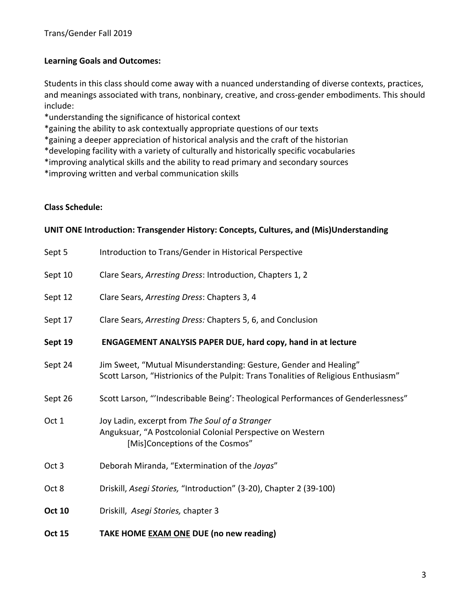# **Learning Goals and Outcomes:**

Students in this class should come away with a nuanced understanding of diverse contexts, practices, and meanings associated with trans, nonbinary, creative, and cross-gender embodiments. This should include:

\*understanding the significance of historical context

\*gaining the ability to ask contextually appropriate questions of our texts

\*gaining a deeper appreciation of historical analysis and the craft of the historian

\*developing facility with a variety of culturally and historically specific vocabularies

\*improving analytical skills and the ability to read primary and secondary sources

\*improving written and verbal communication skills

## **Class Schedule:**

### **UNIT ONE Introduction: Transgender History: Concepts, Cultures, and (Mis)Understanding**

| <b>Oct 15</b>    | TAKE HOME EXAM ONE DUE (no new reading)                                                                                                                  |
|------------------|----------------------------------------------------------------------------------------------------------------------------------------------------------|
| <b>Oct 10</b>    | Driskill, Asegi Stories, chapter 3                                                                                                                       |
| Oct 8            | Driskill, Asegi Stories, "Introduction" (3-20), Chapter 2 (39-100)                                                                                       |
| Oct <sub>3</sub> | Deborah Miranda, "Extermination of the Joyas"                                                                                                            |
| Oct 1            | Joy Ladin, excerpt from The Soul of a Stranger<br>Anguksuar, "A Postcolonial Colonial Perspective on Western<br>[Mis]Conceptions of the Cosmos"          |
| Sept 26          | Scott Larson, "'Indescribable Being': Theological Performances of Genderlessness"                                                                        |
| Sept 24          | Jim Sweet, "Mutual Misunderstanding: Gesture, Gender and Healing"<br>Scott Larson, "Histrionics of the Pulpit: Trans Tonalities of Religious Enthusiasm" |
| Sept 19          | <b>ENGAGEMENT ANALYSIS PAPER DUE, hard copy, hand in at lecture</b>                                                                                      |
| Sept 17          | Clare Sears, Arresting Dress: Chapters 5, 6, and Conclusion                                                                                              |
| Sept 12          | Clare Sears, Arresting Dress: Chapters 3, 4                                                                                                              |
| Sept 10          | Clare Sears, Arresting Dress: Introduction, Chapters 1, 2                                                                                                |
| Sept 5           | Introduction to Trans/Gender in Historical Perspective                                                                                                   |